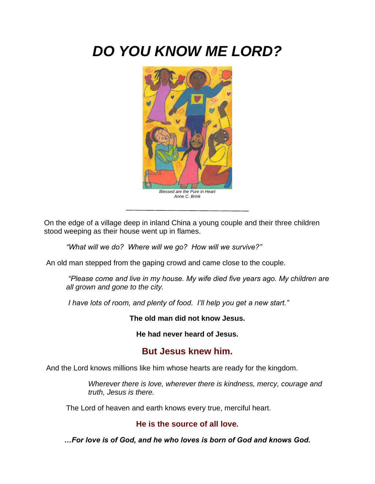# *DO YOU KNOW ME LORD?*



On the edge of a village deep in inland China a young couple and their three children stood weeping as their house went up in flames.

*"What will we do? Where will we go? How will we survive?"*

An old man stepped from the gaping crowd and came close to the couple.

*"Please come and live in my house. My wife died five years ago. My children are all grown and gone to the city.*

*I have lots of room, and plenty of food. I'll help you get a new start."*

**The old man did not know Jesus.** 

**He had never heard of Jesus.** 

# **But Jesus knew him.**

And the Lord knows millions like him whose hearts are ready for the kingdom.

*Wherever there is love, wherever there is kindness, mercy, courage and truth, Jesus is there.*

The Lord of heaven and earth knows every true, merciful heart.

#### **He is the source of all love.**

*…For love is of God, and he who loves is born of God and knows God.*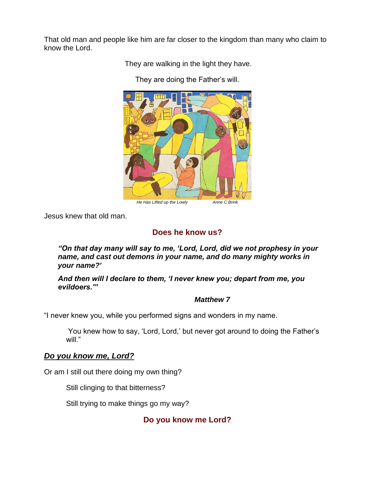That old man and people like him are far closer to the kingdom than many who claim to know the Lord.

They are walking in the light they have.

They are doing the Father's will.



Jesus knew that old man.

# **Does he know us?**

*"On that day many will say to me, 'Lord, Lord, did we not prophesy in your name, and cast out demons in your name, and do many mighty works in your name?'*

*And then will I declare to them, 'I never knew you; depart from me, you evildoers.'"*

#### *Matthew 7*

"I never knew you, while you performed signs and wonders in my name.

You knew how to say, 'Lord, Lord,' but never got around to doing the Father's will."

### *Do you know me, Lord?*

Or am I still out there doing my own thing?

Still clinging to that bitterness?

Still trying to make things go my way?

**Do you know me Lord?**